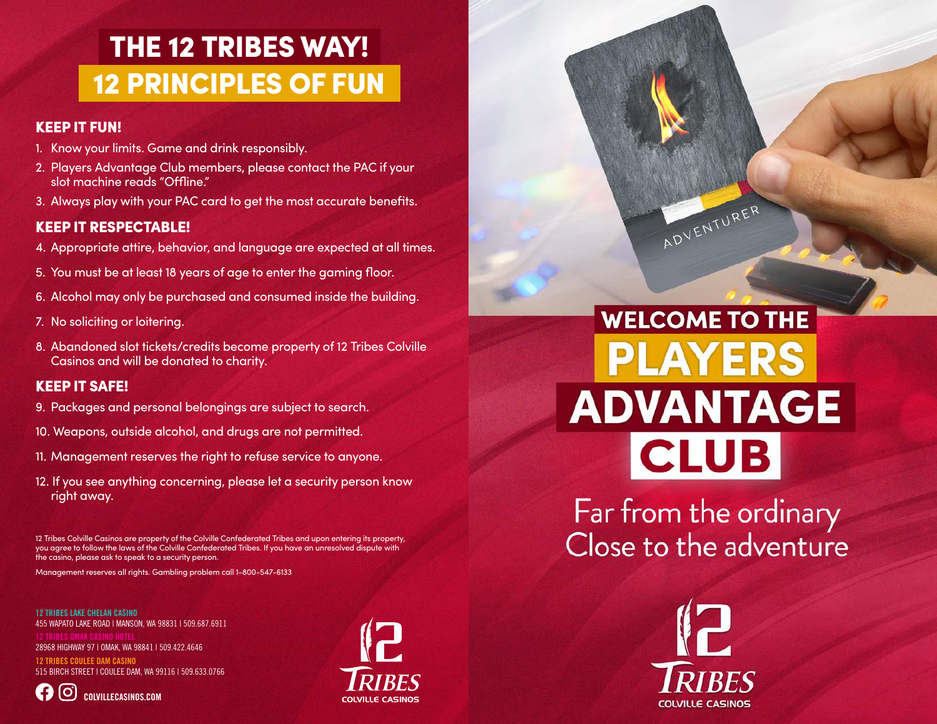## THE 12 TRIBES WAY! 12 PRINCIPLES OF FUN

### KEEP IT FUN!

- 1. Know your limits. Game and drink responsibly.
- 2. Players Advantage Club members, please contact the PAC if your slot machine reads "Offline."
- 3. Always play with your PAC card to get the most accurate benefits.

### KEEP IT RESPECTABLE!

- 4. Appropriate attire, behavior, and language are expected at all times.
- 5. You must be at least 18 years of age to enter the gaming floor.
- 6. Alcohol may only be purchased and consumed inside the building.
- 7. No soliciting or loitering.
- 8. Abandoned slot tickets/credits become property of 12 Tribes Colville Casinos and will be donated to charity.

### KEEP IT SAFE!

- 9. Packages and personal belongings are subject to search.
- 10. Weapons, outside alcohol, and drugs are not permitted.
- 11. Management reserves the right to refuse service to anyone.
- 12. If you see anything concerning, please let a security person know right away.

12 Tribes Colville Casinos are property of the Colville Confederated Tribes and upon entering its property, you agree to follow the laws of the Colville Confederated Tribes. If you have an unresolved dispute with the casino, please ask to speak to a security person.

Management reserves all rights. Gambling problem call 1-800-547-6133

12 TRIBES LAKE CHELAN CASINO 455 WAPATO LAKE ROAD | MANSON, WA 98831 | 509.687.6911

28968 HIGHWAY 97 | OMAK, WA 98841 | 509.422.4646

12 TRIBES COULEE DAM CASINO 515 BIRCH STREET | COULEE DAM, WA 99116 | 509.633.0766





# **WELCOME TO THE PLAYERS ADVANTAGE CLUB**

ADVENTURER

Far from the ordinary Close to the adventure